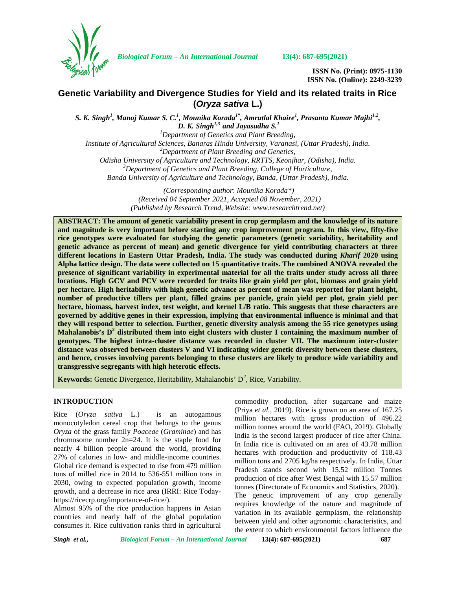

*Biological Forum – An International Journal* **13(4): 687-695(2021)**

**ISSN No. (Print): 0975-1130 ISSN No. (Online): 2249-3239**

# **Genetic Variability and Divergence Studies for Yield and its related traits in Rice (***Oryza sativa* **L.)**

*S. K. Singh<sup>1</sup> , Manoj Kumar S. C.<sup>1</sup> , Mounika Korada1\*, Amrutlal Khaire<sup>1</sup> , Prasanta Kumar Majhi1,2 , D. K. Singh*<sup> $1,3$ </sup> *and Jayasudha S.*<sup>1</sup>

*<sup>1</sup>Department of Genetics and Plant Breeding, Institute of Agricultural Sciences, Banaras Hindu University, Varanasi, (Uttar Pradesh), India. <sup>2</sup>Department of Plant Breeding and Genetics, Odisha University of Agriculture and Technology, RRTTS, Keonjhar, (Odisha), India. <sup>3</sup>Department of Genetics and Plant Breeding, College of Horticulture, Banda University of Agriculture and Technology, Banda, (Uttar Pradesh), India.*

> *(Corresponding author*: *Mounika Korada\*) (Received 04 September 2021, Accepted 08 November, 2021) (Published by Research Trend, Website: [www.researchtrend.net\)](www.researchtrend.net)*

**ABSTRACT: The amount of genetic variability present in crop germplasm and the knowledge of its nature and magnitude is very important before starting any crop improvement program. In this view, fifty-five rice genotypes were evaluated for studying the genetic parameters (genetic variability, heritability and genetic advance as percent of mean) and genetic divergence for yield contributing characters at three different locations in Eastern Uttar Pradesh, India. The study was conducted during** *Kharif* **2020 using Alpha lattice design. The data were collected on 15 quantitative traits. The combined ANOVA revealed the presence of significant variability in experimental material for all the traits under study across all three locations. High GCV and PCV were recorded for traits like grain yield per plot, biomass and grain yield per hectare. High heritability with high genetic advance as percent of mean was reported for plant height, number of productive tillers per plant, filled grains per panicle, grain yield per plot, grain yield per hectare, biomass, harvest index, test weight, and kernel L/B ratio. This suggests that these characters are governed by additive genes in their expression, implying that environmental influence is minimal and that they will respond better to selection. Further, genetic diversity analysis among the 55 rice genotypes using Mahalanobis's D<sup>2</sup> distributed them into eight clusters with cluster I containing the maximum number of genotypes. The highest intra-cluster distance was recorded in cluster VII. The maximum inter-cluster distance was observed between clusters V and VI indicating wider genetic diversity between these clusters, and hence, crosses involving parents belonging to these clusters are likely to produce wide variability and transgressive segregants with high heterotic effects.**

**Keywords:** Genetic Divergence, Heritability, Mahalanobis' D<sup>2</sup>, Rice, Variability.

## **INTRODUCTION**

Rice (*Oryza sativa* L.) is an autogamous monocotyledon cereal crop that belongs to the genus *Oryza* of the grass family *Poaceae* (*Graminae*) and has chromosome number 2n=24. It is the staple food for nearly 4 billion people around the world, providing 27% of calories in low- and middle-income countries. Global rice demand is expected to rise from 479 million tons of milled rice in 2014 to 536-551 million tons in 2030, owing to expected population growth, income growth, and a decrease in rice area (IRRI: Rice Today https://ricecrp.org/importance-of-rice/).

Almost 95% of the rice production happens in Asian countries and nearly half of the global population consumes it. Rice cultivation ranks third in agricultural commodity production, after sugarcane and maize (Priya *et al.,* 2019). Rice is grown on an area of 167.25 million hectares with gross production of 496.22 million tonnes around the world (FAO, 2019). Globally India is the second largest producer of rice after China. In India rice is cultivated on an area of 43.78 million hectares with production and productivity of 118.43 million tons and 2705 kg/ha respectively. In India, Uttar Pradesh stands second with 15.52 million Tonnes production of rice after West Bengal with 15.57 million tonnes (Directorate of Economics and Statistics, 2020). The genetic improvement of any crop generally requires knowledge of the nature and magnitude of variation in its available germplasm, the relationship between yield and other agronomic characteristics, and the extent to which environmental factors influence the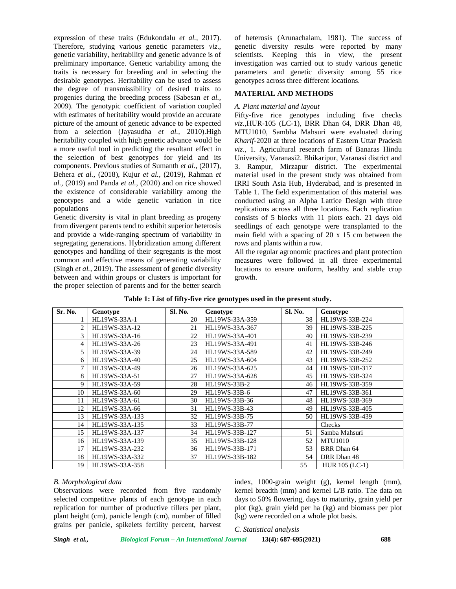expression of these traits (Edukondalu *et al.,* 2017). Therefore, studying various genetic parameters *viz*., genetic variability, heritability and genetic advance is of preliminary importance. Genetic variability among the traits is necessary for breeding and in selecting the desirable genotypes. Heritability can be used to assess the degree of transmissibility of desired traits to progenies during the breeding process (Sabesan *et al.,* 2009). The genotypic coefficient of variation coupled with estimates of heritability would provide an accurate picture of the amount of genetic advance to be expected from a selection (Jayasudha *et al.,* 2010).High heritability coupled with high genetic advance would be a more useful tool in predicting the resultant effect in the selection of best genotypes for yield and its components. Previous studies of Sumanth *et al.,* (2017), Behera *et al.,* (2018), Kujur *et al.,* (2019), Rahman *et al.,* (2019) and Panda *et al.,* (2020) and on rice showed the existence of considerable variability among the genotypes and a wide genetic variation in rice populations

Genetic diversity is vital in plant breeding as progeny from divergent parents tend to exhibit superior heterosis and provide a wide-ranging spectrum of variability in segregating generations. Hybridization among different genotypes and handling of their segregants is the most common and effective means of generating variability (Singh *et al.,* 2019). The assessment of genetic diversity between and within groups or clusters is important for the proper selection of parents and for the better search

of heterosis (Arunachalam, 1981). The success of genetic diversity results were reported by many scientists. Keeping this in view, the present investigation was carried out to study various genetic parameters and genetic diversity among 55 rice genotypes across three different locations.

## **MATERIAL AND METHODS**

## *A. Plant material and layout*

Fifty-five rice genotypes including five checks *viz.,*HUR-105 (LC-1), BRR Dhan 64, DRR Dhan 48, MTU1010, Sambha Mahsuri were evaluated during *Kharif-*2020 at three locations of Eastern Uttar Pradesh *viz*., 1. Agricultural research farm of Banaras Hindu University, Varanasi2. Bhikaripur, Varanasi district and 3. Rampur, Mirzapur district. The experimental material used in the present study was obtained from IRRI South Asia Hub, Hyderabad, and is presented in Table 1. The field experimentation of this material was conducted using an Alpha Lattice Design with three replications across all three locations. Each replication consists of 5 blocks with 11 plots each. 21 days old seedlings of each genotype were transplanted to the main field with a spacing of 20 x 15 cm between the rows and plants within a row.

All the regular agronomic practices and plant protection measures were followed in all three experimental locations to ensure uniform, healthy and stable crop growth.

|  |  |  |  | Table 1: List of fifty-five rice genotypes used in the present study. |  |
|--|--|--|--|-----------------------------------------------------------------------|--|
|  |  |  |  |                                                                       |  |

| Sr. No.        | Genotype       | <b>Sl. No.</b> | Genotype       | Sl. No. | Genotype       |
|----------------|----------------|----------------|----------------|---------|----------------|
| 1              | HL19WS-33A-1   | 20             | HL19WS-33A-359 | 38      | HL19WS-33B-224 |
| $\overline{2}$ | HL19WS-33A-12  | 21             | HL19WS-33A-367 | 39      | HL19WS-33B-225 |
| 3              | HL19WS-33A-16  | 22             | HL19WS-33A-401 | 40      | HL19WS-33B-239 |
| $\overline{4}$ | HL19WS-33A-26  | 23             | HL19WS-33A-491 | 41      | HL19WS-33B-246 |
| 5.             | HL19WS-33A-39  | 24             | HL19WS-33A-589 | 42      | HL19WS-33B-249 |
| 6              | HL19WS-33A-40  | 25             | HL19WS-33A-604 | 43      | HL19WS-33B-252 |
| 7              | HL19WS-33A-49  | 26             | HL19WS-33A-625 | 44      | HL19WS-33B-317 |
| 8              | HL19WS-33A-51  | 27             | HL19WS-33A-628 | 45      | HL19WS-33B-324 |
| 9              | HL19WS-33A-59  | 28             | HL19WS-33B-2   | 46      | HL19WS-33B-359 |
| 10             | HL19WS-33A-60  | 29             | HL19WS-33B-6   | 47      | HL19WS-33B-361 |
| 11             | HL19WS-33A-61  | 30             | HL19WS-33B-36  | 48      | HL19WS-33B-369 |
| 12             | HL19WS-33A-66  | 31             | HL19WS-33B-43  | 49      | HL19WS-33B-405 |
| 13             | HL19WS-33A-133 | 32             | HL19WS-33B-75  | 50      | HL19WS-33B-439 |
| 14             | HL19WS-33A-135 | 33             | HL19WS-33B-77  |         | Checks         |
| 15             | HL19WS-33A-137 | 34             | HL19WS-33B-127 | 51      | Samba Mahsuri  |
| 16             | HL19WS-33A-139 | 35             | HL19WS-33B-128 | 52      | <b>MTU1010</b> |
| 17             | HL19WS-33A-232 | 36             | HL19WS-33B-171 | 53      | BRR Dhan 64    |
| 18             | HL19WS-33A-332 | 37             | HL19WS-33B-182 | 54      | DRR Dhan 48    |
| 19             | HL19WS-33A-358 |                |                | 55      | HUR 105 (LC-1) |

## *B. Morphological data*

Observations were recorded from five randomly selected competitive plants of each genotype in each replication for number of productive tillers per plant, plant height (cm), panicle length (cm), number of filled grains per panicle, spikelets fertility percent, harvest index, 1000-grain weight (g), kernel length (mm), kernel breadth (mm) and kernel L/B ratio. The data on days to 50% flowering, days to maturity, grain yield per plot (kg), grain yield per ha (kg) and biomass per plot (kg) were recorded on a whole plot basis.

*C. Statistical analysis*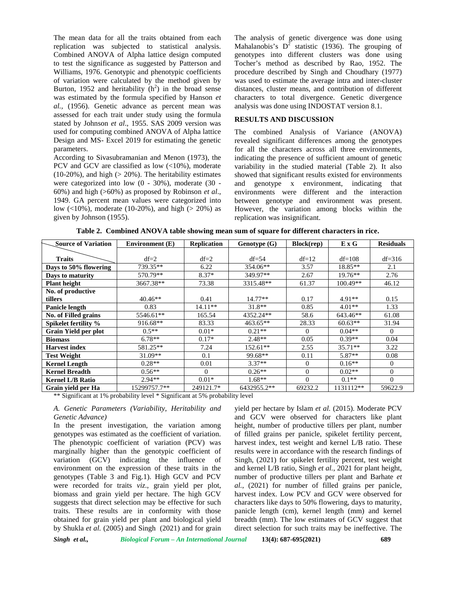The mean data for all the traits obtained from each replication was subjected to statistical analysis. Combined ANOVA of Alpha lattice design computed to test the significance as suggested by Patterson and Williams, 1976. Genotypic and phenotypic coefficients of variation were calculated by the method given by Burton, 1952 and heritability  $(h^2)$  in the broad sense was estimated by the formula specified by Hanson *et al.,* (1956). Genetic advance as percent mean was assessed for each trait under study using the formula stated by Johnson *et al*., 1955. SAS 2009 version was used for computing combined ANOVA of Alpha lattice Design and MS- Excel 2019 for estimating the genetic parameters.

According to Sivasubramanian and Menon (1973), the PCV and GCV are classified as low (<10%), moderate  $(10-20\%)$ , and high  $(> 20\%)$ . The heritability estimates were categorized into low (0 - 30%), moderate (30 - 60%) and high (>60%) as proposed by Robinson *et al*., 1949. GA percent mean values were categorized into low (<10%), moderate (10-20%), and high (> 20%) as given by Johnson (1955).

The analysis of genetic divergence was done using Mahalanobis's  $D^2$  statistic (1936). The grouping of genotypes into different clusters was done using Tocher's method as described by Rao, 1952. The procedure described by Singh and Choudhary (1977) was used to estimate the average intra and inter-cluster distances, cluster means, and contribution of different characters to total divergence. Genetic divergence analysis was done using INDOSTAT version 8.1.

## **RESULTS AND DISCUSSION**

The combined Analysis of Variance (ANOVA) revealed significant differences among the genotypes for all the characters across all three environments, indicating the presence of sufficient amount of genetic variability in the studied material (Table 2). It also showed that significant results existed for environments and genotype x environment, indicating that environments were different and the interaction between genotype and environment was present. However, the variation among blocks within the replication was insignificant.

| <b>Source of Variation</b> | <b>Environment</b> (E) | <b>Replication</b> | Genotype(G) | <b>Block(rep)</b> | E X G      | <b>Residuals</b> |
|----------------------------|------------------------|--------------------|-------------|-------------------|------------|------------------|
|                            |                        |                    |             |                   |            |                  |
| <b>Traits</b>              | $df=2$                 | $df=2$             | $df = 54$   | $df=12$           | $df=108$   | $df = 316$       |
| Days to 50% flowering      | 739.35**               | 6.22               | 354.06**    | 3.57              | $18.85**$  | 2.1              |
| Days to maturity           | 570.79**               | $8.37*$            | 349.97**    | 2.67              | $19.76**$  | 2.76             |
| <b>Plant height</b>        | 3667.38**              | 73.38              | 3315.48**   | 61.37             | $100.49**$ | 46.12            |
| No. of productive          |                        |                    |             |                   |            |                  |
| tillers                    | $40.46**$              | 0.41               | $14.77**$   | 0.17              | $4.91**$   | 0.15             |
| <b>Panicle length</b>      | 0.83                   | $14.11**$          | $31.8**$    | 0.85              | $4.01**$   | 1.33             |
| No. of Filled grains       | 5546.61**              | 165.54             | 4352.24**   | 58.6              | 643.46**   | 61.08            |
| Spikelet fertility %       | 916.68**               | 83.33              | $463.65**$  | 28.33             | $60.63**$  | 31.94            |
| Grain Yield per plot       | $0.5**$                | $0.01*$            | $0.21**$    | $\Omega$          | $0.04**$   | $\Omega$         |
| <b>Biomass</b>             | $6.78**$               | $0.17*$            | $2.48**$    | 0.05              | $0.39**$   | 0.04             |
| <b>Harvest index</b>       | 581.25**               | 7.24               | 152.61**    | 2.55              | $35.71**$  | 3.22             |
| <b>Test Weight</b>         | 31.09**                | 0.1                | 99.68**     | 0.11              | $5.87**$   | 0.08             |
| <b>Kernel Length</b>       | $0.28**$               | 0.01               | $3.37**$    | $\Omega$          | $0.16**$   | $\overline{0}$   |
| <b>Kernel Breadth</b>      | $0.56**$               | $\Omega$           | $0.26**$    | $\Omega$          | $0.02**$   | $\theta$         |
| <b>Kernel L/B Ratio</b>    | $2.94**$               | $0.01*$            | $1.68**$    | $\Omega$          | $0.1**$    | $\Omega$         |
| Grain yield per Ha         | 15299757.7**           | 249121.7*          | 6432955.2** | 69232.2           | 1131112**  | 59622.9          |

**Table 2. Combined ANOVA table showing mean sum of square for different characters in rice.**

\*\* Significant at 1% probability level \* Significant at 5% probability level

*A. Genetic Parameters (Variability, Heritability and Genetic Advance)*

In the present investigation, the variation among genotypes was estimated as the coefficient of variation. The phenotypic coefficient of variation (PCV) was marginally higher than the genotypic coefficient of variation (GCV) indicating the influence of environment on the expression of these traits in the genotypes (Table 3 and Fig.1). High GCV and PCV were recorded for traits *viz*., grain yield per plot, biomass and grain yield per hectare. The high GCV suggests that direct selection may be effective for such traits. These results are in conformity with those obtained for grain yield per plant and biological yield by Shukla *et al.* (2005) and Singh (2021) and for grain

yield per hectare by Islam *et al.* (2015). Moderate PCV and GCV were observed for characters like plant height, number of productive tillers per plant, number of filled grains per panicle, spikelet fertility percent, harvest index, test weight and kernel L/B ratio. These results were in accordance with the research findings of Singh, (2021) for spikelet fertility percent, test weight and kernel L/B ratio, Singh *et al.*, 2021 for plant height, number of productive tillers per plant and Barhate *et al.*, (2021) for number of filled grains per panicle, harvest index. Low PCV and GCV were observed for characters like days to 50% flowering, days to maturity, panicle length (cm), kernel length (mm) and kernel breadth (mm). The low estimates of GCV suggest that direct selection for such traits may be ineffective. The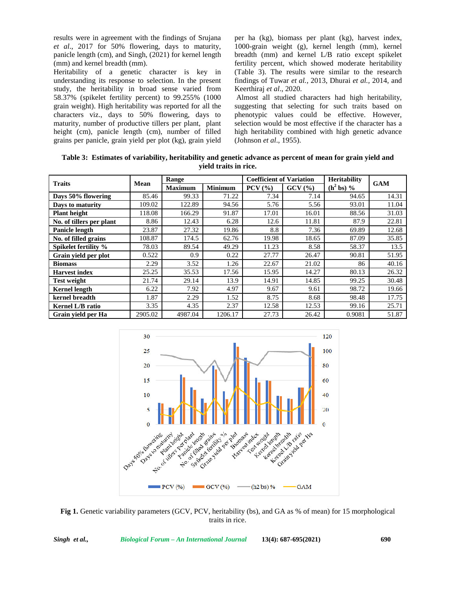results were in agreement with the findings of Srujana *et al*., 2017 for 50% flowering, days to maturity, panicle length (cm), and Singh, (2021) for kernel length (mm) and kernel breadth (mm).

Heritability of a genetic character is key in understanding its response to selection. In the present study, the heritability in broad sense varied from 58.37% (spikelet fertility percent) to 99.255% (1000 grain weight). High heritability was reported for all the characters viz., days to 50% flowering, days to maturity, number of productive tillers per plant, plant height (cm), panicle length (cm), number of filled grains per panicle, grain yield per plot (kg), grain yield per ha (kg), biomass per plant (kg), harvest index, 1000-grain weight (g), kernel length (mm), kernel breadth (mm) and kernel L/B ratio except spikelet fertility percent, which showed moderate heritability (Table 3). The results were similar to the research findings of Tuwar *et al.*, 2013, Dhurai *et al.,* 2014, and Keerthiraj *et al*., 2020.

Almost all studied characters had high heritability, suggesting that selecting for such traits based on phenotypic values could be effective. However, selection would be most effective if the character has a high heritability combined with high genetic advance (Johnson *et al*., 1955).

**Table 3: Estimates of variability, heritability and genetic advance as percent of mean for grain yield and yield traits in rice.**

| <b>Traits</b>            |         | Range          |                | <b>Coefficient of Variation</b> |        | <b>Heritability</b> | <b>GAM</b> |  |
|--------------------------|---------|----------------|----------------|---------------------------------|--------|---------------------|------------|--|
|                          | Mean    | <b>Maximum</b> | <b>Minimum</b> | $PCV($ %)                       | GCV(%) | $(h^2 bs)$ %        |            |  |
| Days 50% flowering       | 85.46   | 99.33          | 71.22          | 7.34                            | 7.14   | 94.65               | 14.31      |  |
| Days to maturity         | 109.02  | 122.89         | 94.56          | 5.76                            | 5.56   | 93.01               | 11.04      |  |
| <b>Plant height</b>      | 118.08  | 166.29         | 91.87          | 17.01                           | 16.01  | 88.56               | 31.03      |  |
| No. of tillers per plant | 8.86    | 12.43          | 6.28           | 12.6                            | 11.81  | 87.9                | 22.81      |  |
| Panicle length           | 23.87   | 27.32          | 19.86          | 8.8                             | 7.36   | 69.89               | 12.68      |  |
| No. of filled grains     | 108.87  | 174.5          | 62.76          | 19.98                           | 18.65  | 87.09               | 35.85      |  |
| Spikelet fertility %     | 78.03   | 89.54          | 49.29          | 11.23                           | 8.58   | 58.37               | 13.5       |  |
| Grain yield per plot     | 0.522   | 0.9            | 0.22           | 27.77                           | 26.47  | 90.81               | 51.95      |  |
| <b>Biomass</b>           | 2.29    | 3.52           | 1.26           | 22.67                           | 21.02  | 86                  | 40.16      |  |
| <b>Harvest index</b>     | 25.25   | 35.53          | 17.56          | 15.95                           | 14.27  | 80.13               | 26.32      |  |
| <b>Test weight</b>       | 21.74   | 29.14          | 13.9           | 14.91                           | 14.85  | 99.25               | 30.48      |  |
| <b>Kernel length</b>     | 6.22    | 7.92           | 4.97           | 9.67                            | 9.61   | 98.72               | 19.66      |  |
| kernel breadth           | 1.87    | 2.29           | 1.52           | 8.75                            | 8.68   | 98.48               | 17.75      |  |
| Kernel L/B ratio         | 3.35    | 4.35           | 2.37           | 12.58                           | 12.53  | 99.16               | 25.71      |  |
| Grain yield per Ha       | 2905.02 | 4987.04        | 1206.17        | 27.73                           | 26.42  | 0.9081              | 51.87      |  |



**Fig 1.** Genetic variability parameters (GCV, PCV, heritability (bs), and GA as % of mean) for 15 morphological traits in rice.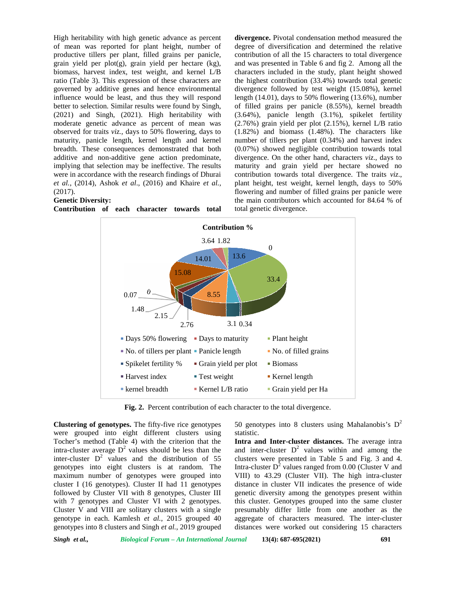High heritability with high genetic advance as percent of mean was reported for plant height, number of productive tillers per plant, filled grains per panicle, grain yield per plot(g), grain yield per hectare (kg), biomass, harvest index, test weight, and kernel L/B ratio (Table 3). This expression of these characters are governed by additive genes and hence environmental influence would be least, and thus they will respond better to selection. Similar results were found by Singh, ratio (Table 3). This expression of these characters are the 1 governed by additive genes and hence environmental divertifulne would be least, and thus they will respond lengt better to selection. Similar results were foun moderate genetic advance as percent of mean was observed for traits *viz.,* days to 50% flowering, days to maturity, panicle length, kernel length and kernel breadth. These consequences demonstrated that both additive and non-additive gene action predominate, implying that selection may be ineffective. The results were in accordance with the research findings of Dhurai *et al.*, (2014), Ashok *et al*., (2016) and Khaire *et al., et* (2017). observed for traits *viz.*, days to 50% flowering, days maturity, panicle length, kernel length and kerr breadth. These consequences demonstrated that bo additive and non-additive gene action predomina implying that select

## **Genetic Diversity:**

**Contribution of each character towards total**

**divergence.** Pivotal condensation method measured the degree of diversification and determined the relative contribution of all the 15 characters to total divergence and was presented in Table 6 and fig 2. Among all the characters included in the study, plant height showed the highest contribution (33.4%) towards total genetic divergence followed by test weight (15.08%), kernel length (14.01), days to 50% flowering (13.6%), number of filled grains per panicle (8.55%), kernel breadth (3.64%), panicle length (3.1%), spikelet fertility (2.76%) grain yield per plot (2.15%), kernel L/B ratio (1.82%) and biomass (1.48%). The characters like number of tillers per plant (0.34%) and harvest index (0.07%) showed negligible contribution towards total divergence. On the other hand, characters *viz*., days to maturity and grain yield per hectare showed no contribution towards total divergence. The traits *viz*., plant height, test weight, kernel length, days to 50% flowering and number of filled grains per panicle were the main contributors which accounted for 84.64 % of total genetic divergence. recent divergence. Fivorial condition method measured the contribution of degree of diversification and determined the relative<br>ide, contribution of all the 15 characters to total divergence<br>(kg), and was presented in Tab



**Fig. 2.** Percent contribution of each character to the total divergence.

**Clustering of genotypes.** The fifty-five rice genotypes **genotypes.**were grouped into eight different clusters using Tocher's method (Table 4) with the criterion that the **Int** intra-cluster average  $D^2$  values should be less than the inter-cluster  $D^2$  values and the distribution of 55 clust genotypes into eight clusters is at random. The maximum number of genotypes were grouped into cluster I (16 genotypes). Cluster II had 11 genotypes followed by Cluster VII with 8 genotypes, Cluster III with 7 genotypes and Cluster VI with 2 genotypes. Cluster V and VIII are solitary clusters with a single pres genotype in each. Kamlesh *et al.*, 2015 grouped 40 genotypes into 8 clusters and Singh *et al.*, 2019 grouped verage  $D^2$  values should be less than the and  $D^2$  values and the distribution of 55 clust into eight clusters is at random. The Intr n number of genotypes were grouped<br>(16 genotypes). Cluster II had 11 genot<br>by Cluster VII with 8 genotypes, Cluste The fifty-five rice genotypes 50 genotypes into 8 clusters<br>the different clusters using statistic.<br>4) with the criterion that the **Intra and Inter-cluster distants**<br>alues should be less than the and inter-cluster  $D^2$  va

50 genotypes into 8 clusters using Mahalanobis's  $D^2$ statistic.

**Intra and Inter-cluster distances.** The average intra and inter-cluster  $D^2$  values within and among the clusters were presented in Table 5 and Fig. 3 and 4. Intra-cluster  $D^2$  values ranged from 0.00 (Cluster V and VIII) to 43.29 (Cluster VII). The high intra-cluster distance in cluster VII indicates the presence of wide genetic diversity among the genotypes present within this cluster. Genotypes grouped into the same cluster presumably differ little from one another as the aggregate of characters measured. The inter-cluster distances were worked out considering 15 characters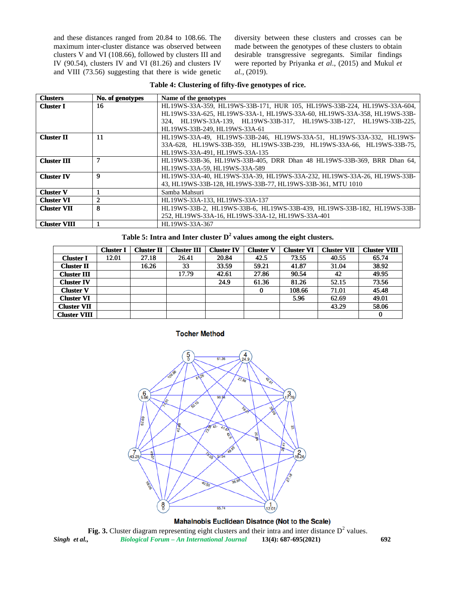|  | Table 4: Clustering of fifty-five genotypes of rice. |  |
|--|------------------------------------------------------|--|
|  |                                                      |  |

|                                           |                       |                                          |                                                                                                                                                                                                                                                               | Table 4: Clustering of fifty-five genotypes of rice. |                                      |                                        |                                                             |                                                                                                                                                     |  |  |
|-------------------------------------------|-----------------------|------------------------------------------|---------------------------------------------------------------------------------------------------------------------------------------------------------------------------------------------------------------------------------------------------------------|------------------------------------------------------|--------------------------------------|----------------------------------------|-------------------------------------------------------------|-----------------------------------------------------------------------------------------------------------------------------------------------------|--|--|
| <b>Clusters</b>                           | No. of genotypes      |                                          | Name of the genotypes                                                                                                                                                                                                                                         |                                                      |                                      |                                        |                                                             |                                                                                                                                                     |  |  |
| <b>Cluster I</b>                          | 16                    |                                          | HL19WS-33A-359, HL19WS-33B-171, HUR 105, HL19WS-33B-224, HL19WS-33A-604,<br>HL19WS-33A-625, HL19WS-33A-1, HL19WS-33A-60, HL19WS-33A-358, HL19WS-33B-<br>324, HL19WS-33A-139, HL19WS-33B-317, HL19WS-33B-127, HL19WS-33B-225,<br>HL19WS-33B-249, HL19WS-33A-61 |                                                      |                                      |                                        |                                                             |                                                                                                                                                     |  |  |
| <b>Cluster II</b>                         | 11                    |                                          | HL19WS-33A-49, HL19WS-33B-246, HL19WS-33A-51, HL19WS-33A-332, HL19WS-<br>33A-628, HL19WS-33B-359, HL19WS-33B-239, HL19WS-33A-66, HL19WS-33B-75,<br>HL19WS-33A-491, HL19WS-33A-135                                                                             |                                                      |                                      |                                        |                                                             |                                                                                                                                                     |  |  |
| <b>Cluster III</b><br><b>Cluster IV</b>   | 7<br>$\boldsymbol{9}$ |                                          | HL19WS-33A-59, HL19WS-33A-589                                                                                                                                                                                                                                 |                                                      |                                      |                                        |                                                             | HL19WS-33B-36, HL19WS-33B-405, DRR Dhan 48 HL19WS-33B-369, BRR Dhan 64,<br>HL19WS-33A-40, HL19WS-33A-39, HL19WS-33A-232, HL19WS-33A-26, HL19WS-33B- |  |  |
| <b>Cluster V</b>                          | 1                     |                                          | Samba Mahsuri                                                                                                                                                                                                                                                 |                                                      |                                      |                                        | 43, HL19WS-33B-128, HL19WS-33B-77, HL19WS-33B-361, MTU 1010 |                                                                                                                                                     |  |  |
| <b>Cluster VI</b><br><b>Cluster VII</b>   | $\mathbf{2}$<br>8     |                                          | HL19WS-33A-133, HL19WS-33A-137<br>252, HL19WS-33A-16, HL19WS-33A-12, HL19WS-33A-401                                                                                                                                                                           |                                                      |                                      |                                        |                                                             | HL19WS-33B-2, HL19WS-33B-6, HL19WS-33B-439, HL19WS-33B-182, HL19WS-33B-                                                                             |  |  |
| <b>Cluster VIII</b>                       | $\mathbf{1}$          |                                          | HL19WS-33A-367<br>Table 5: Intra and Inter cluster $D^2$ values among the eight clusters.                                                                                                                                                                     |                                                      |                                      |                                        |                                                             |                                                                                                                                                     |  |  |
|                                           | <b>Cluster I</b>      | <b>Cluster II</b>                        | <b>Cluster III</b>                                                                                                                                                                                                                                            | <b>Cluster IV</b>                                    | <b>Cluster V</b>                     | <b>Cluster VI</b>                      | <b>Cluster VII</b>                                          | <b>Cluster VIII</b>                                                                                                                                 |  |  |
| <b>Cluster I</b>                          | 12.01                 | 27.18                                    | 26.41                                                                                                                                                                                                                                                         | 20.84                                                | 42.5                                 | 73.55                                  | 40.55                                                       | 65.74                                                                                                                                               |  |  |
| <b>Cluster II</b>                         |                       | 16.26                                    | 33                                                                                                                                                                                                                                                            | 33.59                                                | 59.21                                | 41.87                                  | 31.04                                                       | 38.92                                                                                                                                               |  |  |
| <b>Cluster III</b>                        |                       |                                          | 17.79                                                                                                                                                                                                                                                         | 42.61                                                | 27.86                                | 90.54                                  | 42                                                          | 49.95                                                                                                                                               |  |  |
|                                           |                       |                                          |                                                                                                                                                                                                                                                               |                                                      |                                      |                                        |                                                             |                                                                                                                                                     |  |  |
|                                           |                       |                                          |                                                                                                                                                                                                                                                               |                                                      |                                      |                                        |                                                             |                                                                                                                                                     |  |  |
| <b>Cluster IV</b>                         |                       |                                          |                                                                                                                                                                                                                                                               | 24.9                                                 | 61.36                                | 81.26                                  | 52.15                                                       | 73.56                                                                                                                                               |  |  |
| <b>Cluster V</b>                          |                       |                                          |                                                                                                                                                                                                                                                               |                                                      | 0                                    | 108.66                                 | 71.01                                                       | 45.48                                                                                                                                               |  |  |
| <b>Cluster VI</b>                         |                       |                                          |                                                                                                                                                                                                                                                               |                                                      |                                      | 5.96                                   | 62.69                                                       | 49.01                                                                                                                                               |  |  |
| <b>Cluster VII</b><br><b>Cluster VIII</b> |                       |                                          | <b>Tocher Method</b>                                                                                                                                                                                                                                          |                                                      |                                      |                                        | 43.29                                                       | 58.06<br>$\bf{0}$                                                                                                                                   |  |  |
|                                           |                       | 6,6<br>62.69<br>$\frac{7}{43.29}$<br>430 | $\frac{5}{0}$<br>52.55<br><b>G</b>                                                                                                                                                                                                                            | 61.36<br>27.86<br>90.54<br>é,<br>37.04               | $\frac{4}{24.9}$<br><b>ROOM</b><br>비 | 3/7.79<br>ಜ<br>÷<br>2 <sub>16.26</sub> |                                                             |                                                                                                                                                     |  |  |

|                     | <b>Cluster I</b> | <b>Cluster II</b> | <b>Cluster III</b> | <b>Cluster IV</b> | <b>Cluster V</b> | <b>Cluster VI</b> | <b>Cluster VII</b> | <b>Cluster VIII</b> |
|---------------------|------------------|-------------------|--------------------|-------------------|------------------|-------------------|--------------------|---------------------|
| <b>Cluster I</b>    | 12.01            | 27.18             | 26.41              | 20.84             | 42.5             | 73.55             | 40.55              | 65.74               |
| <b>Cluster II</b>   |                  | 16.26             | 33                 | 33.59             | 59.21            | 41.87             | 31.04              | 38.92               |
| <b>Cluster III</b>  |                  |                   | 17.79              | 42.61             | 27.86            | 90.54             | 42                 | 49.95               |
| <b>Cluster IV</b>   |                  |                   |                    | 24.9              | 61.36            | 81.26             | 52.15              | 73.56               |
| <b>Cluster V</b>    |                  |                   |                    |                   |                  | 108.66            | 71.01              | 45.48               |
| <b>Cluster VI</b>   |                  |                   |                    |                   |                  | 5.96              | 62.69              | 49.01               |
| <b>Cluster VII</b>  |                  |                   |                    |                   |                  |                   | 43.29              | 58.06               |
| <b>Cluster VIII</b> |                  |                   |                    |                   |                  |                   |                    |                     |



*Singh et al., Biological Forum – An International Journal* **13(4): 687-695(2021) 692** Fig. 3. Cluster diagram representing eight clusters and their intra and inter distance  $D^2$  values.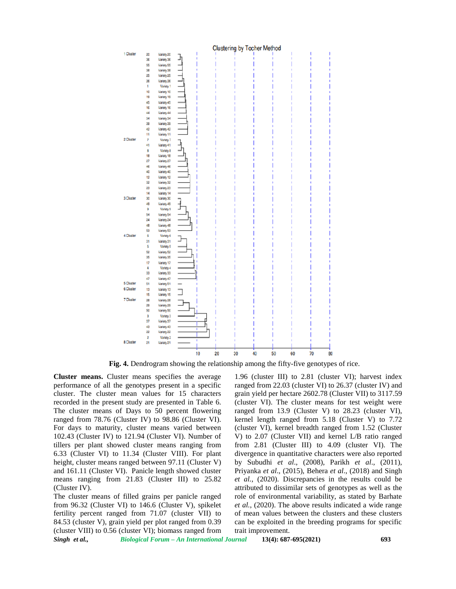

**Fig. 4.** Dendrogram showing the relationship among the fifty-five genotypes of rice.

**Cluster means.** Cluster means specifies the average performance of all the genotypes present in a specific cluster. The cluster mean values for 15 characters recorded in the present study are presented in Table 6. The cluster means of Days to 50 percent flowering ranged from 78.76 (Cluster IV) to 98.86 (Cluster VI). For days to maturity, cluster means varied between 102.43 (Cluster IV) to 121.94 (Cluster VI). Number of tillers per plant showed cluster means ranging from 6.33 (Cluster VI) to 11.34 (Cluster VIII). For plant height, cluster means ranged between 97.11 (Cluster V) and 161.11 (Cluster VI). Panicle length showed cluster means ranging from 21.83 (Cluster III) to 25.82 (Cluster IV).

*Singh et al., Biological Forum – An International Journal* **13(4): 687-695(2021) 693** The cluster means of filled grains per panicle ranged from 96.32 (Cluster VI) to 146.6 (Cluster V), spikelet fertility percent ranged from 71.07 (cluster VII) to 84.53 (cluster V), grain yield per plot ranged from 0.39 (cluster VIII) to 0.56 (cluster VI); biomass ranged from

1.96 (cluster III) to 2.81 (cluster VI); harvest index ranged from 22.03 (cluster VI) to 26.37 (cluster IV) and grain yield per hectare 2602.78 (Cluster VII) to 3117.59 (cluster VI). The cluster means for test weight were ranged from 13.9 (Cluster V) to 28.23 (cluster VI), kernel length ranged from 5.18 (Cluster V) to 7.72 (cluster VI), kernel breadth ranged from 1.52 (Cluster V) to 2.07 (Cluster VII) and kernel L/B ratio ranged from 2.81 (Cluster III) to 4.09 (cluster VI). The divergence in quantitative characters were also reported by Subudhi *et al*., (2008), Parikh *et al*., (2011), Priyanka *et al.*, (2015), Behera *et al.*, (2018) and Singh *et al.*, (2020). Discrepancies in the results could be attributed to dissimilar sets of genotypes as well as the role of environmental variability, as stated by Barhate *et al.*, (2020). The above results indicated a wide range of mean values between the clusters and these clusters can be exploited in the breeding programs for specific trait improvement. **Fig. 4.** Dendrogram showing the relationship among the fifty-five genotypes of rice.<br> **Performance of all the genotypes present in a specifies ranged from 22.03 (cluster VI) to 281 cluster VI)<br>
cluster VI) to 3117 cluster** ster means specifies the average 1.96 (cluster III) to 2.81 (cluster VI); harvest index ranged mom 22.03 (cluster V1) to 26.37 (cluster V1) and mean values for 15 characters grain yield per hectare 2602.78 (Cluster VII) t 26.37 (cluster IV) and<br>
re 2602.78 (Cluster VII) to 3117.59<br>
uster means for test weight were<br>
Cluster V) to 28.23 (cluster VI),<br>
d from 5.18 (Cluster V) to 7.72<br>
breadth ranged from 1.52 (Cluster<br>
VII) and kernel L/B rati *al.*, (2020). Discrepancies in the results could be ibuted to dissimilar sets of genotypes as well as the e of environmental variability, as stated by Barhate *al.*, (2020). The above results indicated a wide range mean v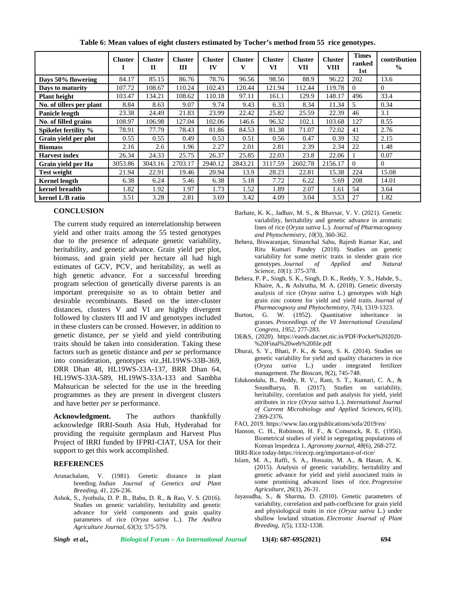|                          | <b>Cluster</b> | <b>Cluster</b><br>$\mathbf{I}$ | <b>Cluster</b><br>Ш | <b>Cluster</b><br>IV | <b>Cluster</b> | <b>Cluster</b><br>VI | <b>Cluster</b><br>VII | <b>Cluster</b><br><b>VIII</b> | <b>Times</b><br>ranked<br>1st | contribution<br>$\frac{0}{0}$ |
|--------------------------|----------------|--------------------------------|---------------------|----------------------|----------------|----------------------|-----------------------|-------------------------------|-------------------------------|-------------------------------|
| Days 50% flowering       | 84.17          | 85.15                          | 86.76               | 78.76                | 96.56          | 98.56                | 88.9                  | 96.22                         | 202                           | 13.6                          |
| Days to maturity         | 107.72         | 108.67                         | 110.24              | 102.43               | 120.44         | 121.94               | 112.44                | 119.78                        | $\Omega$                      | $\Omega$                      |
| <b>Plant height</b>      | 103.47         | 134.21                         | 108.62              | 110.18               | 97.11          | 161.1                | 129.9                 | 148.17                        | 496                           | 33.4                          |
| No. of tillers per plant | 8.84           | 8.63                           | 9.07                | 9.74                 | 9.43           | 6.33                 | 8.34                  | 11.34                         | 5                             | 0.34                          |
| Panicle length           | 23.38          | 24.49                          | 21.83               | 23.99                | 22.42          | 25.82                | 25.59                 | 22.39                         | 46                            | 3.1                           |
| No. of filled grains     | 108.97         | 106.98                         | 127.04              | 102.06               | 146.6          | 96.32                | 102.1                 | 103.68                        | 127                           | 8.55                          |
| Spikelet fertility %     | 78.91          | 77.79                          | 78.43               | 81.86                | 84.53          | 81.38                | 71.07                 | 72.02                         | 41                            | 2.76                          |
| Grain yield per plot     | 0.55           | 0.55                           | 0.49                | 0.53                 | 0.51           | 0.56                 | 0.47                  | 0.39                          | 32                            | 2.15                          |
| <b>Biomass</b>           | 2.16           | 2.6                            | 1.96                | 2.27                 | 2.01           | 2.81                 | 2.39                  | 2.34                          | 22                            | 1.48                          |
| <b>Harvest index</b>     | 26.34          | 24.33                          | 25.75               | 26.37                | 25.85          | 22.03                | 23.8                  | 22.06                         |                               | 0.07                          |
| Grain vield per Ha       | 3053.86        | 3043.16                        | 2703.17             | 2940.12              | 2843.21        | 3117.59              | 2602.78               | 2156.17                       | $\theta$                      | $\theta$                      |
| <b>Test weight</b>       | 21.94          | 22.91                          | 19.46               | 20.94                | 13.9           | 28.23                | 22.81                 | 15.38                         | 224                           | 15.08                         |
| <b>Kernel length</b>     | 6.38           | 6.24                           | 5.46                | 6.38                 | 5.18           | 7.72                 | 6.22                  | 5.69                          | 208                           | 14.01                         |
| kernel breadth           | 1.82           | 1.92                           | 1.97                | 1.73                 | 1.52           | 1.89                 | 2.07                  | 1.61                          | 54                            | 3.64                          |
| kernel L/B ratio         | 3.51           | 3.28                           | 2.81                | 3.69                 | 3.42           | 4.09                 | 3.04                  | 3.53                          | 27                            | 1.82                          |

**Table 6: Mean values of eight clusters estimated by Tocher's method from 55 rice genotypes.**

## **CONCLUSION**

The current study required an interrelationship between yield and other traits among the 55 tested genotypes due to the presence of adequate genetic variability, heritability, and genetic advance. Grain yield per plot, biomass, and grain yield per hectare all had high estimates of GCV, PCV, and heritability, as well as high genetic advance. For a successful breeding program selection of genetically diverse parents is an important prerequisite so as to obtain better and desirable recombinants. Based on the inter-cluster distances, clusters V and VI are highly divergent followed by clusters III and IV and genotypes included in these clusters can be crossed. However, in addition to genetic distance, *per se* yield and yield contributing traits should be taken into consideration. Taking these factors such as genetic distance and *per se* performance into consideration, genotypes *viz*.,HL19WS-33B-369, DRR Dhan 48, HL19WS-33A-137, BRR Dhan 64, HL19WS-33A-589, HL19WS-33A-133 and Sambha Mahsurican be selected for the use in the breeding programmes as they are present in divergent clusters and have better *per se* performance.

**Acknowledgment.** The authors thankfully acknowledge IRRI-South Asia Hub, Hyderabad for providing the requisite germplasm and Harvest Plus Project of IRRI funded by IFPRI-CIAT, USA for their support to get this work accomplished.

#### **REFERENCES**

- Arunachalam, V. (1981). Genetic distance in plant breeding. *Indian Journal of Genetics and Plant Breeding*, *41*, 226-236.
- Ashok, S., Jyothula, D. P. B., Babu, D. R., & Rao, V. S. (2016). Studies on genetic variability, heritability and genetic advance for yield components and grain quality parameters of rice (*Oryza sativa* L.). *The Andhra Agriculture J*o*urnal*, *63*(3): 575-579.
- Barhate, K. K., Jadhav, M. S., & Bhavsar, V. V. (2021). Genetic variability, heritability and genetic advance in aromatic lines of rice (*Oryza sativa* L.). *Journal of Pharmacognosy and Phytochemistry*, *10*(3), 360-362.
- Behera, Biswaranjan, Simanchal Sahu, Rajesh Kumar Kar, and Ritu Kumari Pandey (2018). Studies on genetic variability for some metric traits in slender grain rice genotypes. *Journal of Applied and Natural Science, 10*(1): 375-378.
- Behera, P. P., Singh, S. K., Singh, D. K., Reddy, Y. S., Habde, S., Khaire, A., & Ashrutha, M. A. (2018). Genetic diversity analysis of rice (*Oryza sativa* L.) genotypes with high grain zinc content for yield and yield traits. *Journal of Pharmacognosy and Phytochemistry*, *7*(4), 1319-1323.
- Burton, G. W. (1952). Quantitative inheritance in grasses. *Proceedings of the VI International Grassland Congress, 1952*, 277-283.
- DE&S, (2020). https://eands.dacnet.nic.in/PDF/Pocket%202020- %20Final%20web%20file.pdf
- Dhurai, S. Y., Bhati, P. K., & Saroj, S. K. (2014). Studies on genetic variability for yield and quality characters in rice (*Oryza sativa* L.) under integrated fertilizer management. *The Bioscan*, *9*(2), 745-748.
- Edukondalu, B., Reddy, R. V., Rani, S. T., Kumari, C. A., & Soundharya, B. (2017). Studies on variability, heritability, correlation and path analysis for yield, yield attributes in rice (*Oryza sativa* L.). *International Journal of Current Microbiology and Applied Sciences*, *6*(10), 2369-2376.
- FAO, 2019. https:/[/www.fao.org/publications/sofa/2019/en/](www.fao.org/publications/sofa/2019/en/)
- Hanson, C. H., Robinson, H. F., & Comstock, R. E. (1956). Biometrical studies of yield in segregating populations of Korean lespedeza 1. *Agronomy journal*, *48*(6), 268-272.
- IRRI-Rice today-https://ricecrp.org/importance-of-rice/
- Islam, M. A., Raffi, S. A., Hossain, M. A., & Hasan, A. K. (2015). Analysis of genetic variability, heritability and genetic advance for yield and yield associated traits in some promising advanced lines of rice. *Progressive Agriculture*, *26*(1), 26-31.
- Jayasudha, S., & Sharma, D. (2010). Genetic parameters of variability, correlation and path-coefficient for grain yield and physiological traits in rice (*Oryza sativa* L.) under shallow lowland situation. *Electronic Journal of Plant Breeding*, *1*(5), 1332-1338.